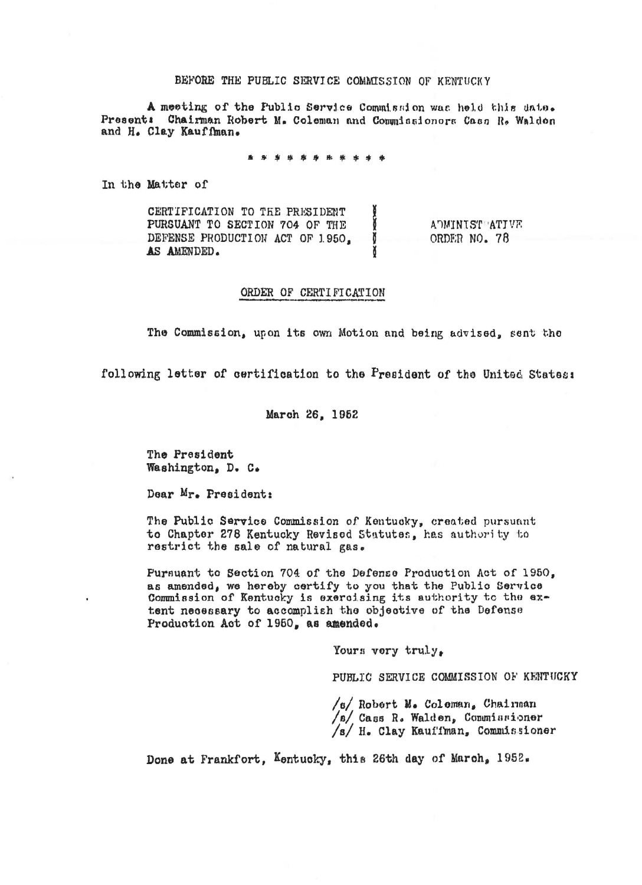## BEFORE THE PUBLIC SERVICE COMMISSION OF KENTUCKY

A meeting of the Public Service Commission was held this date. Present: Chairman Robert M. Coleman and Commissionors Cass R. Walden and H. Clay Kauffman.

In the Matter of

CERTIFICATION TO THE PRESIDENT PURSUANT TO SECTION 704 OF THE ADMINIST ATIVE DEFENSE PRODUCTION ACT OF 1950. Ĭ ORDER NO. 78 AS AMENDED.

## ORDER OF CERTIFICATION

The Commission, upon its own Motion and being advised, sent the

following letter of certification to the President of the United States:

March 26, 1952

The President Washington, D. C.

Dear Mr. President:

The Public Service Commission of Kentucky, created pursuant to Chapter 278 Kentucky Revised Statutes, has authority to restrict the sale of natural gas.

Pursuant to Section 704 of the Defense Production Act of 1950, as amended, we hereby certify to you that the Public Service Commission of Kentucky is exercising its authority to the extent necessary to accomplish the objective of the Defense Production Act of 1950, as amended.

Yours very truly,

PUBLIC SERVICE COMMISSION OF KENTUCKY

/s/ Robert M. Coleman. Chairman /s/ Cass R. Walden, Commissioner /s/ H. Clay Kauffman, Commissioner

Done at Frankfort, Kentucky, this 26th day of March, 1952.